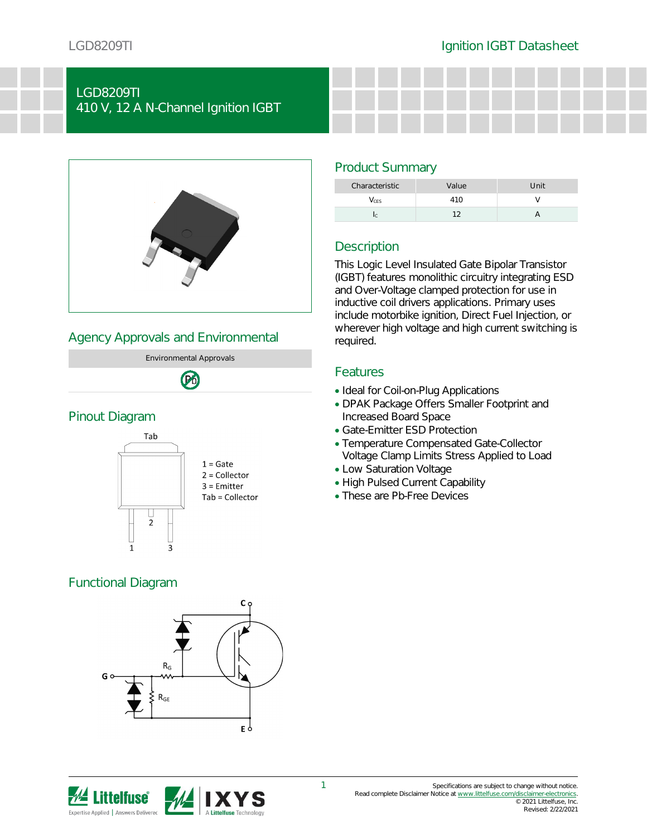## LGD8209TI 410 V, 12 A N-Channel Ignition IGBT



## Agency Approvals and Environmental



### Pinout Diagram



# Functional Diagram



# Description

Product Summary

This Logic Level Insulated Gate Bipolar Transistor (IGBT) features monolithic circuitry integrating ESD and Over-Voltage clamped protection for use in inductive coil drivers applications. Primary uses include motorbike ignition, Direct Fuel Injection, or wherever high voltage and high current switching is required.

Characteristic Value Value Unit  $V_{\text{CES}}$  410 V Ic  $\qquad \qquad 12$  A

### Features

- Ideal for Coil-on-Plug Applications
- DPAK Package Offers Smaller Footprint and Increased Board Space
- Gate-Emitter ESD Protection
- Temperature Compensated Gate-Collector Voltage Clamp Limits Stress Applied to Load
- Low Saturation Voltage
- High Pulsed Current Capability
- These are Pb-Free Devices

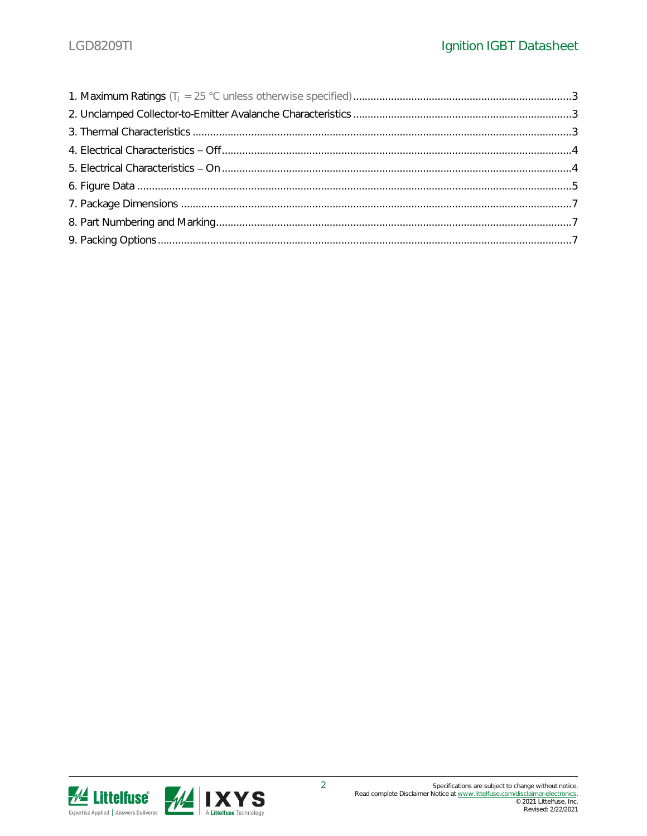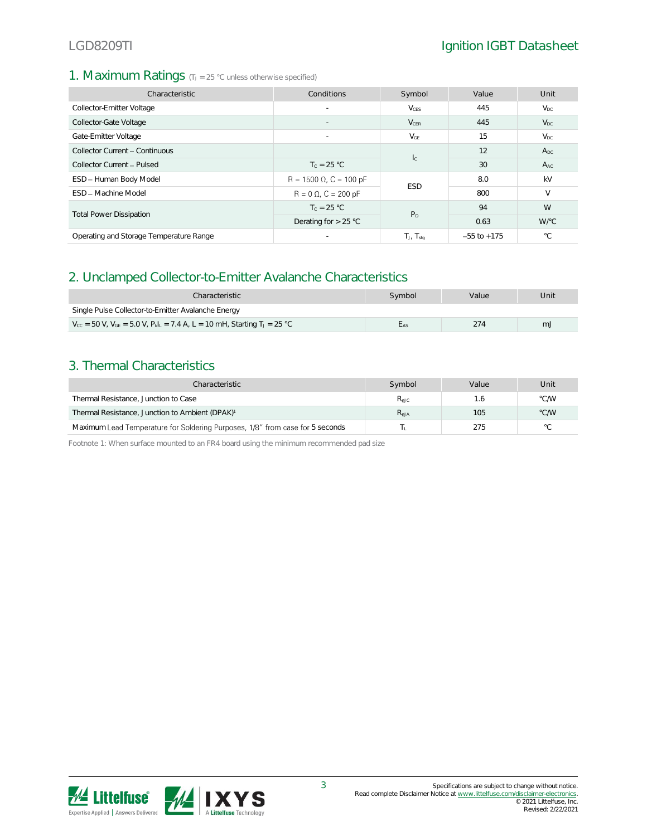### 1. Maximum Ratings (TJ = 25 °C unless otherwise specified)

| Characteristic                          | Conditions                     | Symbol                  | Value           | Unit         |
|-----------------------------------------|--------------------------------|-------------------------|-----------------|--------------|
| Collector-Emitter Voltage               | $\overline{\phantom{a}}$       | <b>V</b> <sub>CES</sub> | 445             | $V_{DC}$     |
| Collector-Gate Voltage                  | $\overline{\phantom{a}}$       | $V_{CER}$               | 445             | $V_{DC}$     |
| Gate-Emitter Voltage                    |                                | $V_{GE}$                | 15              | $V_{DC}$     |
| Collector Current - Continuous          |                                |                         | 12              | $A_{DC}$     |
| Collector Current - Pulsed              | $T_c = 25 °C$                  | $I_{\rm C}$             | 30              | $A_{AC}$     |
| ESD - Human Body Model                  | $R = 1500 \Omega$ , C = 100 pF | <b>ESD</b>              | 8.0             | kV           |
| <b>FSD</b> - Machine Model              | $R = 0 \Omega$ , $C = 200 pF$  |                         | 800             | $\vee$       |
|                                         | $T_c = 25 °C$                  | P <sub>D</sub>          | 94              | W            |
| <b>Total Power Dissipation</b>          | Derating for $> 25$ °C         |                         | 0.63            | W/°C         |
| Operating and Storage Temperature Range |                                | $T_J$ , $T_{sta}$       | $-55$ to $+175$ | $^{\circ}$ C |

### 2. Unclamped Collector-to-Emitter Avalanche Characteristics

| Characteristic                                                                                                                  | Svmbol | Value | Unit |  |  |  |
|---------------------------------------------------------------------------------------------------------------------------------|--------|-------|------|--|--|--|
| Single Pulse Collector-to-Emitter Avalanche Energy                                                                              |        |       |      |  |  |  |
| $V_{\text{cc}}$ = 50 V, $V_{\text{GE}}$ = 5.0 V, $P_{\text{k}}I_{\text{L}}$ = 7.4 A, L = 10 mH, Starting T <sub>J</sub> = 25 °C |        | 274   | m.   |  |  |  |

### 3. Thermal Characteristics

| Characteristic                                                                | Symbol    | Value | Unit           |
|-------------------------------------------------------------------------------|-----------|-------|----------------|
| Thermal Resistance, Junction to Case                                          | $R_{AIC}$ |       | °C/W           |
| Thermal Resistance, Junction to Ambient (DPAK) <sup>1</sup>                   | $R_{AJA}$ | 105   | °C/W           |
| Maximum Lead Temperature for Soldering Purposes, 1/8" from case for 5 seconds |           | 275   | $\circ$ $\cap$ |

Footnote 1: When surface mounted to an FR4 board using the minimum recommended pad size

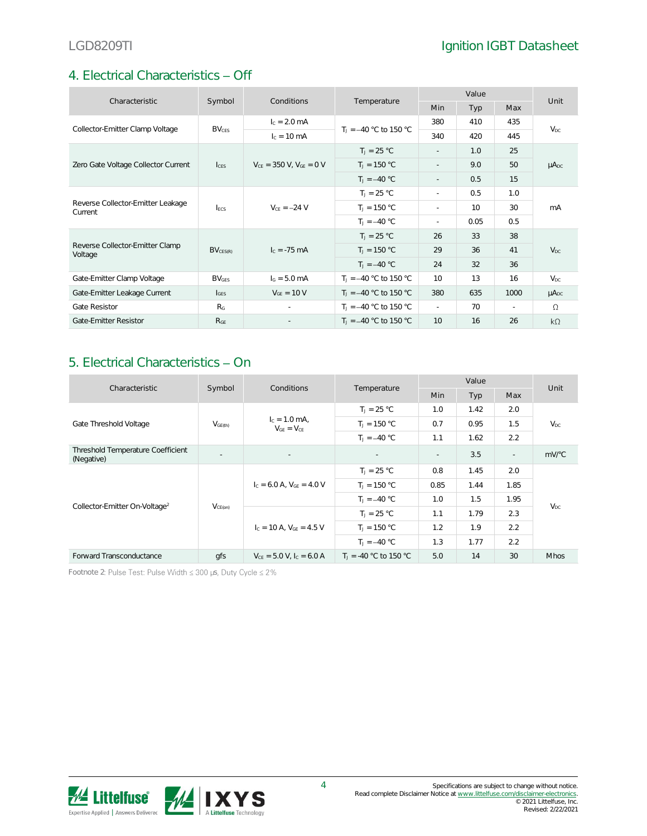# 4. Electrical Characteristics - Off

|                                              | Conditions              |                                  |                          | Value                       |      |        | Unit            |
|----------------------------------------------|-------------------------|----------------------------------|--------------------------|-----------------------------|------|--------|-----------------|
| Characteristic                               | Symbol                  |                                  | Temperature              | <b>Min</b>                  | Typ  | Max    |                 |
| Collector-Emitter Clamp Voltage              | <b>BV<sub>CES</sub></b> | $I_c = 2.0$ mA                   | $T_1 = -40$ °C to 150 °C | 380                         | 410  | 435    | $V_{DC}$        |
|                                              |                         | $I_c = 10 \text{ mA}$            |                          | 340                         | 420  | 445    |                 |
|                                              |                         |                                  | $T_1 = 25 °C$            | $\mathbf{r}$                | 1.0  | 25     |                 |
| Zero Gate Voltage Collector Current          | c <sub>FS</sub>         | $V_{CE}$ = 350 V, $V_{GE}$ = 0 V | $T_J = 150 °C$           | $\sim$                      | 9.0  | 50     | $\mu A_{DC}$    |
|                                              |                         |                                  | $T_1 = -40 °C$           |                             | 0.5  | 15     |                 |
| Reverse Collector-Emitter Leakage<br>Current | <b>IFCS</b>             | $V_{CE} = -24 V$                 | $T_1 = 25 °C$            | $\sim$                      | 0.5  | 1.0    | mA              |
|                                              |                         |                                  | $T_J = 150 °C$           | $\mathcal{L}^{\mathcal{L}}$ | 10   | 30     |                 |
|                                              |                         |                                  | $T_1 = -40 °C$           |                             | 0.05 | 0.5    |                 |
|                                              | $BV_{CES(R)}$           | $I_c = -75$ mA                   | $T_J = 25 °C$            | 26                          | 33   | 38     |                 |
| Reverse Collector-Emitter Clamp<br>Voltage   |                         |                                  | $T_J = 150 °C$           | 29                          | 36   | 41     | V <sub>DC</sub> |
|                                              |                         |                                  | $T_1 = -40 °C$           | 24                          | 32   | 36     |                 |
| Gate-Emitter Clamp Voltage                   | $BV_{GES}$              | $I_G = 5.0 \text{ mA}$           | $T_1 = -40$ °C to 150 °C | 10                          | 13   | 16     | $V_{DC}$        |
| Gate-Emitter Leakage Current                 | $I_{\text{GES}}$        | $V_{GE}$ = 10 V                  | $T_1 = -40$ °C to 150 °C | 380                         | 635  | 1000   | $\mu A_{DC}$    |
| <b>Gate Resistor</b>                         | R <sub>G</sub>          |                                  | $T_1 = -40$ °C to 150 °C | $\sim$                      | 70   | $\sim$ | $\Omega$        |
| Gate-Emitter Resistor                        | R <sub>GE</sub>         |                                  | $T_1 = -40$ °C to 150 °C | 10                          | 16   | 26     | $k\Omega$       |

# 5. Electrical Characteristics - On

|                                                 | Symbol<br>Characteristic<br>Conditions | Temperature                          | Value                    |                          |                | Unit                     |             |
|-------------------------------------------------|----------------------------------------|--------------------------------------|--------------------------|--------------------------|----------------|--------------------------|-------------|
|                                                 |                                        |                                      |                          | <b>Min</b>               | Typ            | Max                      |             |
|                                                 | V <sub>GE(th)</sub>                    | $I_c = 1.0$ mA,<br>$V_{GF} = V_{CF}$ | $T_1 = 25 °C$            | 1.0                      | 1.42           | 2.0                      |             |
| Gate Threshold Voltage                          |                                        |                                      | $T_1 = 150 °C$           | 0.7                      | 0.95           | 1.5                      | $V_{DC}$    |
|                                                 |                                        |                                      | $T_1 = -40 °C$           | 1.1                      | 1.62           | 2.2                      |             |
| Threshold Temperature Coefficient<br>(Negative) | $\sim$                                 | $\sim$                               | $\overline{\phantom{a}}$ | $\overline{\phantom{a}}$ | 3.5            | $\overline{\phantom{a}}$ | $mV$ °C     |
| Collector-Emitter On-Voltage <sup>2</sup>       | $V_{CE(on)}$                           | $c = 6.0$ A, $V_{GF} = 4.0$ V        | $T_1 = 25 °C$            | 0.8                      | 1.45           | 2.0                      | $V_{DC}$    |
|                                                 |                                        |                                      | $T_J = 150 °C$           | 0.85                     | 1.44           | 1.85                     |             |
|                                                 |                                        |                                      | $T_1 = -40 °C$           | 1.0                      | 1.5            | 1.95                     |             |
|                                                 |                                        | $I_c = 10$ A, $V_{CF} = 4.5$ V       | $T_1 = 25 °C$            | 1.1                      | 1.79           | 2.3                      |             |
|                                                 |                                        |                                      | $T_1 = 150 °C$           | 1.2                      | 1.9            | 2.2                      |             |
|                                                 |                                        |                                      |                          |                          | $T_1 = -40 °C$ | 1.3                      | 1.77        |
| Forward Transconductance                        | qfs                                    | $V_{CE} = 5.0 V, IC = 6.0 A$         | $T_1 = -40$ °C to 150 °C | 5.0                      | 14             | 30                       | <b>Mhos</b> |

Footnote 2: Pulse Test: Pulse Width  $\leq 300$  µs, Duty Cycle  $\leq 2\%$ 

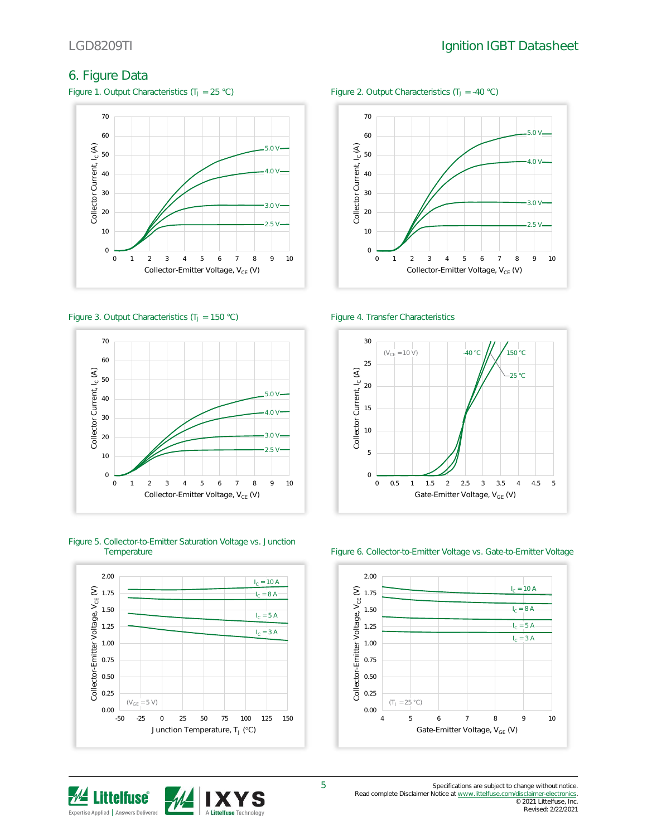# 6. Figure Data

Figure 1. Output Characteristics ( $T_J = 25 \text{ °C}$ ) Figure 2. Output Characteristics ( $T_J = -40 \text{ °C}$ )



### Figure 3. Output Characteristics (T<sub>J</sub> = 150 °C) Figure 4. Transfer Characteristics



# Figure 5. Collector-to-Emitter Saturation Voltage vs. Junction







### Figure 6. Collector-to-Emitter Voltage vs. Gate-to-Emitter Voltage

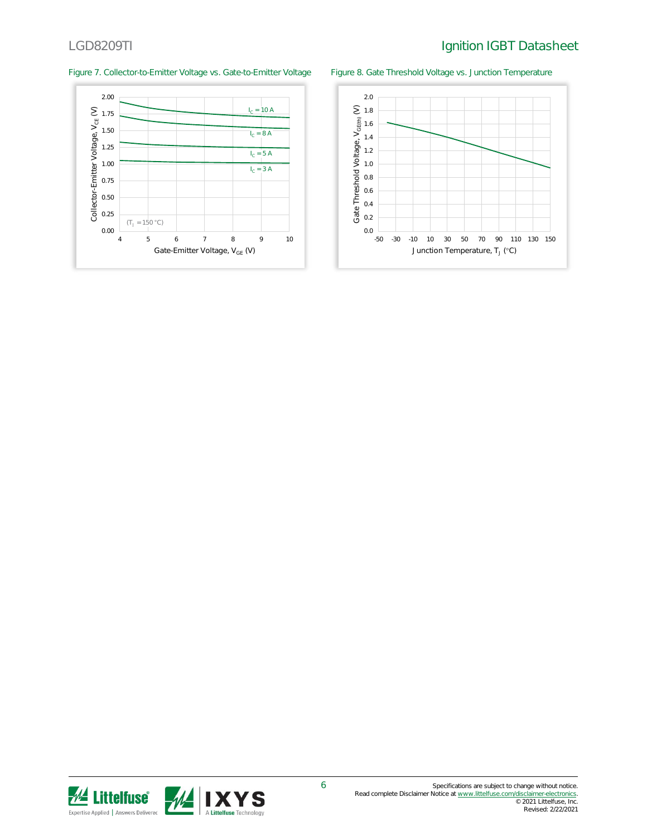## LGD8209TI Ignition IGBT Datasheet

### Figure 7. Collector-to-Emitter Voltage vs. Gate-to-Emitter Voltage Figure 8. Gate Threshold Voltage vs. Junction Temperature